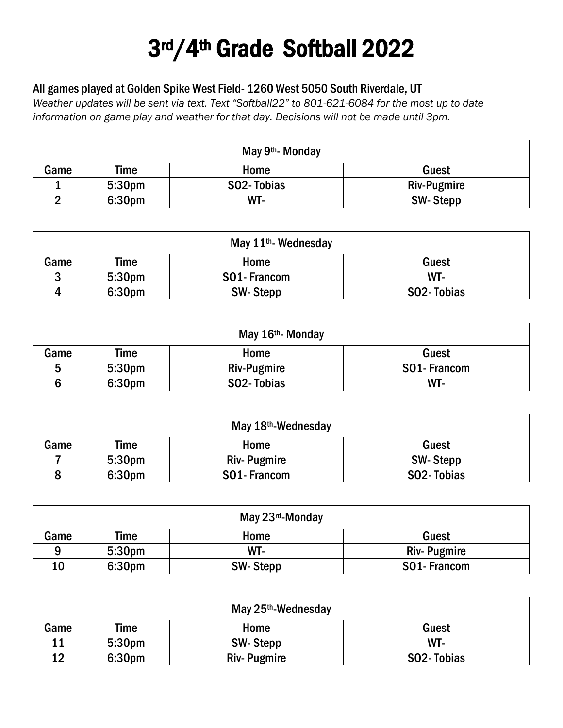## 3rd/4th Grade Softball 2022

## All games played at Golden Spike West Field- 1260 West 5050 South Riverdale, UT

*Weather updates will be sent via text. Text "Softball22" to 801-621-6084 for the most up to date information on game play and weather for that day. Decisions will not be made until 3pm.*

| May 9 <sup>th</sup> - Monday  |                    |                         |                 |  |
|-------------------------------|--------------------|-------------------------|-----------------|--|
| Guest<br>Game<br>Time<br>Home |                    |                         |                 |  |
|                               | 5:30 <sub>pm</sub> | SO <sub>2</sub> -Tobias | Riv-Pugmire     |  |
| ◠                             | 6:30pm             | WT-                     | <b>SW-Stepp</b> |  |

| May $11th$ - Wednesday        |                    |                 |            |  |
|-------------------------------|--------------------|-----------------|------------|--|
| Time<br>Game<br>Guest<br>Home |                    |                 |            |  |
| ാ                             | 5:30 <sub>pm</sub> | SO1-Francom     | WT-        |  |
| Д                             | 6:30 <sub>pm</sub> | <b>SW-Stepp</b> | SO2-Tobias |  |

| May 16 <sup>th</sup> - Monday |                    |                    |             |  |
|-------------------------------|--------------------|--------------------|-------------|--|
| Time<br>Guest<br>Game<br>Home |                    |                    |             |  |
| 5                             | 5:30 <sub>pm</sub> | <b>Riv-Pugmire</b> | SO1-Francom |  |
|                               | 6:30pm             | SO2-Tobias         | WT-         |  |

| May $18th$ -Wednesday         |                    |                    |            |  |  |
|-------------------------------|--------------------|--------------------|------------|--|--|
| Guest<br>Time<br>Game<br>Home |                    |                    |            |  |  |
|                               | 5:30 <sub>pm</sub> | <b>Riv-Pugmire</b> | SW-Stepp   |  |  |
|                               | 6:30 <sub>pm</sub> | SO1-Francom        | SO2-Tobias |  |  |

| May 23rd-Monday               |        |          |                    |  |
|-------------------------------|--------|----------|--------------------|--|
| Game<br>Time<br>Guest<br>Home |        |          |                    |  |
| q                             | 5:30pm | WT-      | <b>Riv-Pugmire</b> |  |
| 10                            | 6:30pm | SW-Stepp | SO1-Francom        |  |

| May $25th$ -Wednesday         |        |                    |            |  |
|-------------------------------|--------|--------------------|------------|--|
| Time<br>Guest<br>Home<br>Game |        |                    |            |  |
| 11                            | 5:30pm | <b>SW-Stepp</b>    | WT-        |  |
| 12                            | 6:30pm | <b>Riv-Pugmire</b> | SO2-Tobias |  |